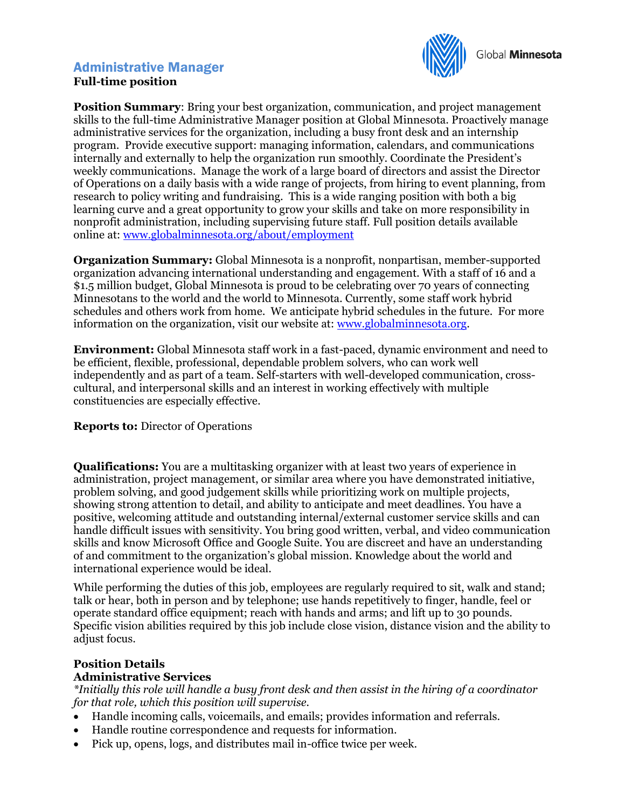## Administrative Manager **Full-time position**



**Position Summary:** Bring your best organization, communication, and project management skills to the full-time Administrative Manager position at Global Minnesota. Proactively manage administrative services for the organization, including a busy front desk and an internship program. Provide executive support: managing information, calendars, and communications internally and externally to help the organization run smoothly. Coordinate the President's weekly communications. Manage the work of a large board of directors and assist the Director of Operations on a daily basis with a wide range of projects, from hiring to event planning, from research to policy writing and fundraising. This is a wide ranging position with both a big learning curve and a great opportunity to grow your skills and take on more responsibility in nonprofit administration, including supervising future staff. Full position details available online at: [www.globalminnesota.org/about/employment](http://www.globalminnesota.org/about/employment)

**Organization Summary:** Global Minnesota is a nonprofit, nonpartisan, member-supported organization advancing international understanding and engagement. With a staff of 16 and a \$1.5 million budget, Global Minnesota is proud to be celebrating over 70 years of connecting Minnesotans to the world and the world to Minnesota. Currently, some staff work hybrid schedules and others work from home. We anticipate hybrid schedules in the future. For more information on the organization, visit our website at: [www.globalminnesota.org.](file:///C:/Users/mic/AppData/Local/Microsoft/Windows/INetCache/Content.Outlook/CTS9N1ZB/www.globalminnesota.org)

**Environment:** Global Minnesota staff work in a fast-paced, dynamic environment and need to be efficient, flexible, professional, dependable problem solvers, who can work well independently and as part of a team. Self-starters with well-developed communication, crosscultural, and interpersonal skills and an interest in working effectively with multiple constituencies are especially effective.

### **Reports to:** Director of Operations

**Qualifications:** You are a multitasking organizer with at least two years of experience in administration, project management, or similar area where you have demonstrated initiative, problem solving, and good judgement skills while prioritizing work on multiple projects, showing strong attention to detail, and ability to anticipate and meet deadlines. You have a positive, welcoming attitude and outstanding internal/external customer service skills and can handle difficult issues with sensitivity. You bring good written, verbal, and video communication skills and know Microsoft Office and Google Suite. You are discreet and have an understanding of and commitment to the organization's global mission. Knowledge about the world and international experience would be ideal.

While performing the duties of this job, employees are regularly required to sit, walk and stand; talk or hear, both in person and by telephone; use hands repetitively to finger, handle, feel or operate standard office equipment; reach with hands and arms; and lift up to 30 pounds. Specific vision abilities required by this job include close vision, distance vision and the ability to adjust focus.

### **Position Details**

### **Administrative Services**

*\*Initially this role will handle a busy front desk and then assist in the hiring of a coordinator for that role, which this position will supervise.* 

- Handle incoming calls, voicemails, and emails; provides information and referrals.
- Handle routine correspondence and requests for information.
- Pick up, opens, logs, and distributes mail in-office twice per week.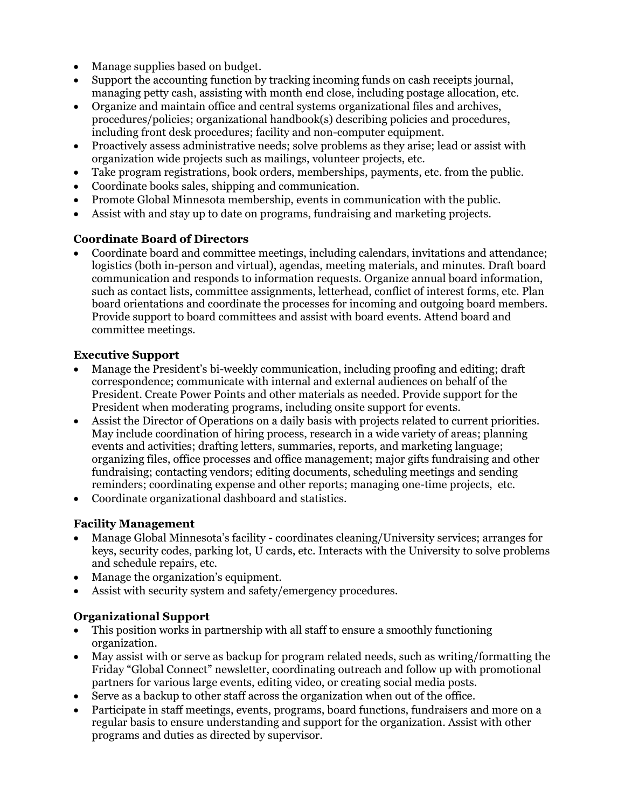- Manage supplies based on budget.
- Support the accounting function by tracking incoming funds on cash receipts journal, managing petty cash, assisting with month end close, including postage allocation, etc.
- Organize and maintain office and central systems organizational files and archives, procedures/policies; organizational handbook(s) describing policies and procedures, including front desk procedures; facility and non-computer equipment.
- Proactively assess administrative needs; solve problems as they arise; lead or assist with organization wide projects such as mailings, volunteer projects, etc.
- Take program registrations, book orders, memberships, payments, etc. from the public.
- Coordinate books sales, shipping and communication.
- Promote Global Minnesota membership, events in communication with the public.
- Assist with and stay up to date on programs, fundraising and marketing projects.

## **Coordinate Board of Directors**

• Coordinate board and committee meetings, including calendars, invitations and attendance; logistics (both in-person and virtual), agendas, meeting materials, and minutes. Draft board communication and responds to information requests. Organize annual board information, such as contact lists, committee assignments, letterhead, conflict of interest forms, etc. Plan board orientations and coordinate the processes for incoming and outgoing board members. Provide support to board committees and assist with board events. Attend board and committee meetings.

### **Executive Support**

- Manage the President's bi-weekly communication, including proofing and editing; draft correspondence; communicate with internal and external audiences on behalf of the President. Create Power Points and other materials as needed. Provide support for the President when moderating programs, including onsite support for events.
- Assist the Director of Operations on a daily basis with projects related to current priorities. May include coordination of hiring process, research in a wide variety of areas; planning events and activities; drafting letters, summaries, reports, and marketing language; organizing files, office processes and office management; major gifts fundraising and other fundraising; contacting vendors; editing documents, scheduling meetings and sending reminders; coordinating expense and other reports; managing one-time projects, etc.
- Coordinate organizational dashboard and statistics.

### **Facility Management**

- Manage Global Minnesota's facility coordinates cleaning/University services; arranges for keys, security codes, parking lot, U cards, etc. Interacts with the University to solve problems and schedule repairs, etc.
- Manage the organization's equipment.
- Assist with security system and safety/emergency procedures.

# **Organizational Support**

- This position works in partnership with all staff to ensure a smoothly functioning organization.
- May assist with or serve as backup for program related needs, such as writing/formatting the Friday "Global Connect" newsletter, coordinating outreach and follow up with promotional partners for various large events, editing video, or creating social media posts.
- Serve as a backup to other staff across the organization when out of the office.
- Participate in staff meetings, events, programs, board functions, fundraisers and more on a regular basis to ensure understanding and support for the organization. Assist with other programs and duties as directed by supervisor.